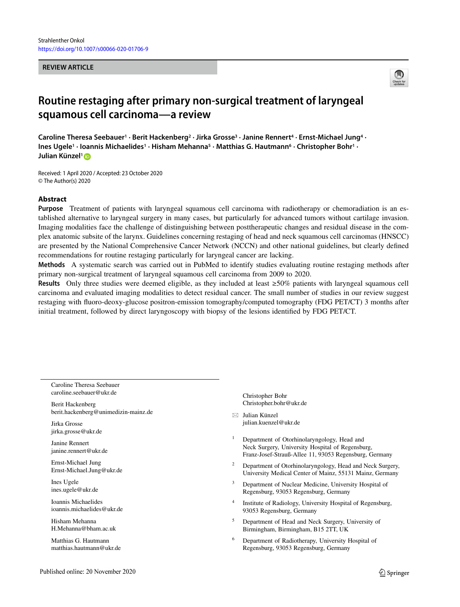#### **REVIEW ARTICLE**



# **Routine restaging after primary non-surgical treatment of laryngeal squamous cell carcinoma—a review**

**Caroline Theresa Seebauer1 · Berit Hackenberg2 · Jirka Grosse3 · Janine Rennert4 · Ernst-Michael Jung4 · Ines Ugele1 · Ioannis Michaelides1 · Hisham Mehanna5 · Matthias G. Hautmann6 · Christopher Bohr1 · Julian Künzel1**

Received: 1 April 2020 / Accepted: 23 October 2020 © The Author(s) 2020

## **Abstract**

**Purpose** Treatment of patients with laryngeal squamous cell carcinoma with radiotherapy or chemoradiation is an established alternative to laryngeal surgery in many cases, but particularly for advanced tumors without cartilage invasion. Imaging modalities face the challenge of distinguishing between posttherapeutic changes and residual disease in the complex anatomic subsite of the larynx. Guidelines concerning restaging of head and neck squamous cell carcinomas (HNSCC) are presented by the National Comprehensive Cancer Network (NCCN) and other national guidelines, but clearly defined recommendations for routine restaging particularly for laryngeal cancer are lacking.

**Methods** A systematic search was carried out in PubMed to identify studies evaluating routine restaging methods after primary non-surgical treatment of laryngeal squamous cell carcinoma from 2009 to 2020.

**Results** Only three studies were deemed eligible, as they included at least ≥50% patients with laryngeal squamous cell carcinoma and evaluated imaging modalities to detect residual cancer. The small number of studies in our review suggest restaging with fluoro-deoxy-glucose positron-emission tomography/computed tomography (FDG PET/CT) 3 months after initial treatment, followed by direct laryngoscopy with biopsy of the lesions identified by FDG PET/CT.

Caroline Theresa Seebauer caroline.seebauer@ukr.de

Berit Hackenberg berit.hackenberg@unimedizin-mainz.de

Jirka Grosse jirka.grosse@ukr.de

Janine Rennert janine.rennert@ukr.de

Ernst-Michael Jung Ernst-Michael.Jung@ukr.de

Ines Ugele ines.ugele@ukr.de

Ioannis Michaelides ioannis.michaelides@ukr.de

Hisham Mehanna H.Mehanna@bham.ac.uk

Matthias G. Hautmann matthias.hautmann@ukr.de Christopher Bohr Christopher.bohr@ukr.de

- Julian Künzel julian.kuenzel@ukr.de

<sup>1</sup> Department of Otorhinolaryngology, Head and Neck Surgery, University Hospital of Regensburg, Franz-Josef-Strauß-Allee 11, 93053 Regensburg, Germany

- <sup>2</sup> Department of Otorhinolaryngology, Head and Neck Surgery, University Medical Center of Mainz, 55131 Mainz, Germany
- <sup>3</sup> Department of Nuclear Medicine, University Hospital of Regensburg, 93053 Regensburg, Germany
- <sup>4</sup> Institute of Radiology, University Hospital of Regensburg, 93053 Regensburg, Germany
- <sup>5</sup> Department of Head and Neck Surgery, University of Birmingham, Birmingham, B15 2TT, UK
- <sup>6</sup> Department of Radiotherapy, University Hospital of Regensburg, 93053 Regensburg, Germany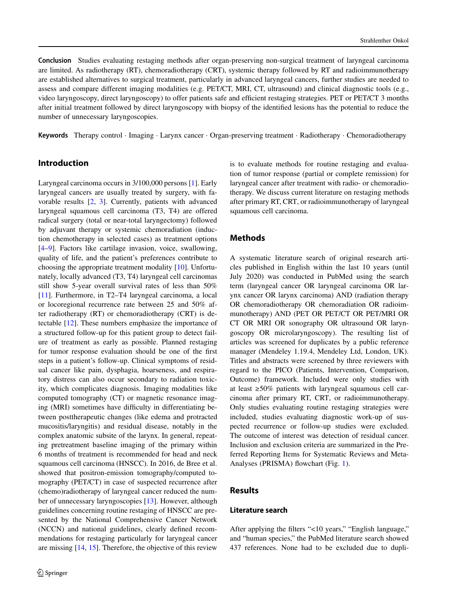**Conclusion** Studies evaluating restaging methods after organ-preserving non-surgical treatment of laryngeal carcinoma are limited. As radiotherapy (RT), chemoradiotherapy (CRT), systemic therapy followed by RT and radioimmunotherapy are established alternatives to surgical treatment, particularly in advanced laryngeal cancers, further studies are needed to assess and compare different imaging modalities (e.g. PET/CT, MRI, CT, ultrasound) and clinical diagnostic tools (e.g., video laryngoscopy, direct laryngoscopy) to offer patients safe and efficient restaging strategies. PET or PET/CT 3 months after initial treatment followed by direct laryngoscopy with biopsy of the identified lesions has the potential to reduce the number of unnecessary laryngoscopies.

**Keywords** Therapy control · Imaging · Larynx cancer · Organ-preserving treatment · Radiotherapy · Chemoradiotherapy

# **Introduction**

Laryngeal carcinoma occurs in 3/100,000 persons [\[1\]](#page-7-0). Early laryngeal cancers are usually treated by surgery, with favorable results [\[2,](#page-7-1) [3\]](#page-7-2). Currently, patients with advanced laryngeal squamous cell carcinoma (T3, T4) are offered radical surgery (total or near-total laryngectomy) followed by adjuvant therapy or systemic chemoradiation (induction chemotherapy in selected cases) as treatment options [\[4](#page-7-3)[–9\]](#page-8-0). Factors like cartilage invasion, voice, swallowing, quality of life, and the patient's preferences contribute to choosing the appropriate treatment modality [\[10\]](#page-8-1). Unfortunately, locally advanced (T3, T4) laryngeal cell carcinomas still show 5-year overall survival rates of less than 50% [\[11\]](#page-8-2). Furthermore, in T2–T4 laryngeal carcinoma, a local or locoregional recurrence rate between 25 and 50% after radiotherapy (RT) or chemoradiotherapy (CRT) is detectable [\[12\]](#page-8-3). These numbers emphasize the importance of a structured follow-up for this patient group to detect failure of treatment as early as possible. Planned restaging for tumor response evaluation should be one of the first steps in a patient's follow-up. Clinical symptoms of residual cancer like pain, dysphagia, hoarseness, and respiratory distress can also occur secondary to radiation toxicity, which complicates diagnosis. Imaging modalities like computed tomography (CT) or magnetic resonance imaging (MRI) sometimes have difficulty in differentiating between posttherapeutic changes (like edema and protracted mucositis/laryngitis) and residual disease, notably in the complex anatomic subsite of the larynx. In general, repeating pretreatment baseline imaging of the primary within 6 months of treatment is recommended for head and neck squamous cell carcinoma (HNSCC). In 2016, de Bree et al. showed that positron-emission tomography/computed tomography (PET/CT) in case of suspected recurrence after (chemo)radiotherapy of laryngeal cancer reduced the number of unnecessary laryngoscopies [\[13\]](#page-8-4). However, although guidelines concerning routine restaging of HNSCC are presented by the National Comprehensive Cancer Network (NCCN) and national guidelines, clearly defined recommendations for restaging particularly for laryngeal cancer are missing [\[14,](#page-8-5) [15\]](#page-8-6). Therefore, the objective of this review

is to evaluate methods for routine restaging and evaluation of tumor response (partial or complete remission) for laryngeal cancer after treatment with radio- or chemoradiotherapy. We discuss current literature on restaging methods after primary RT, CRT, or radioimmunotherapy of laryngeal squamous cell carcinoma.

## **Methods**

A systematic literature search of original research articles published in English within the last 10 years (until July 2020) was conducted in PubMed using the search term (laryngeal cancer OR laryngeal carcinoma OR larynx cancer OR larynx carcinoma) AND (radiation therapy OR chemoradiotherapy OR chemoradiation OR radioimmunotherapy) AND (PET OR PET/CT OR PET/MRI OR CT OR MRI OR sonography OR ultrasound OR laryngoscopy OR microlaryngoscopy). The resulting list of articles was screened for duplicates by a public reference manager (Mendeley 1.19.4, Mendeley Ltd, London, UK). Titles and abstracts were screened by three reviewers with regard to the PICO (Patients, Intervention, Comparison, Outcome) framework. Included were only studies with at least ≥50% patients with laryngeal squamous cell carcinoma after primary RT, CRT, or radioimmunotherapy. Only studies evaluating routine restaging strategies were included, studies evaluating diagnostic work-up of suspected recurrence or follow-up studies were excluded. The outcome of interest was detection of residual cancer. Inclusion and exclusion criteria are summarized in the Preferred Reporting Items for Systematic Reviews and Meta-Analyses (PRISMA) flowchart (Fig. [1\)](#page-2-0).

## **Results**

#### **Literature search**

After applying the filters "<10 years," "English language," and "human species," the PubMed literature search showed 437 references. None had to be excluded due to dupli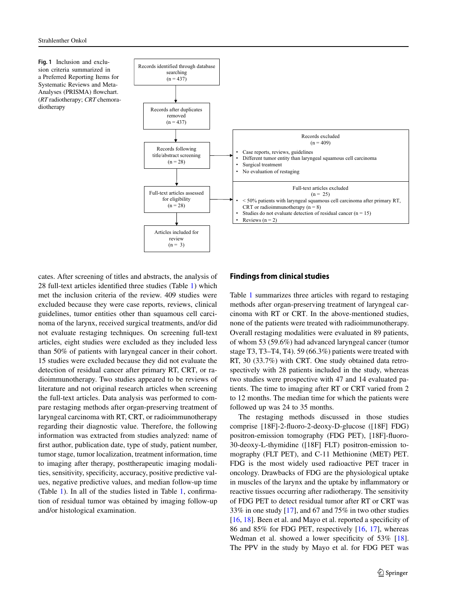<span id="page-2-0"></span>**Fig. 1** Inclusion and exclusion criteria summarized in a Preferred Reporting Items for Systematic Reviews and Meta-Analyses (PRISMA) flowchart. (*RT* radiotherapy; *CRT* chemoradiotherapy



cates. After screening of titles and abstracts, the analysis of 28 full-text articles identified three studies (Table [1\)](#page-3-0) which met the inclusion criteria of the review. 409 studies were excluded because they were case reports, reviews, clinical guidelines, tumor entities other than squamous cell carcinoma of the larynx, received surgical treatments, and/or did not evaluate restaging techniques. On screening full-text articles, eight studies were excluded as they included less than 50% of patients with laryngeal cancer in their cohort. 15 studies were excluded because they did not evaluate the detection of residual cancer after primary RT, CRT, or radioimmunotherapy. Two studies appeared to be reviews of literature and not original research articles when screening the full-text articles. Data analysis was performed to compare restaging methods after organ-preserving treatment of laryngeal carcinoma with RT, CRT, or radioimmunotherapy regarding their diagnostic value. Therefore, the following information was extracted from studies analyzed: name of first author, publication date, type of study, patient number, tumor stage, tumor localization, treatment information, time to imaging after therapy, posttherapeutic imaging modalities, sensitivity, specificity, accuracy, positive predictive values, negative predictive values, and median follow-up time (Table [1\)](#page-3-0). In all of the studies listed in Table [1,](#page-3-0) confirmation of residual tumor was obtained by imaging follow-up and/or histological examination.

### **Findings from clinical studies**

Table [1](#page-3-0) summarizes three articles with regard to restaging methods after organ-preserving treatment of laryngeal carcinoma with RT or CRT. In the above-mentioned studies, none of the patients were treated with radioimmunotherapy. Overall restaging modalities were evaluated in 89 patients, of whom 53 (59.6%) had advanced laryngeal cancer (tumor stage T3, T3–T4, T4). 59 (66.3%) patients were treated with RT, 30 (33.7%) with CRT. One study obtained data retrospectively with 28 patients included in the study, whereas two studies were prospective with 47 and 14 evaluated patients. The time to imaging after RT or CRT varied from 2 to 12 months. The median time for which the patients were followed up was 24 to 35 months.

The restaging methods discussed in those studies comprise [18F]-2-fluoro-2-deoxy-D-glucose ([18F] FDG) positron-emission tomography (FDG PET), [18F]-fluoro-30-deoxy-L-thymidine ([18F] FLT) positron-emission tomography (FLT PET), and C-11 Methionine (MET) PET. FDG is the most widely used radioactive PET tracer in oncology. Drawbacks of FDG are the physiological uptake in muscles of the larynx and the uptake by inflammatory or reactive tissues occurring after radiotherapy. The sensitivity of FDG PET to detect residual tumor after RT or CRT was 33% in one study [\[17\]](#page-8-7), and 67 and 75% in two other studies [\[16,](#page-8-8) [18\]](#page-8-9). Been et al. and Mayo et al. reported a specificity of 86 and 85% for FDG PET, respectively [\[16,](#page-8-8) [17\]](#page-8-7), whereas Wedman et al. showed a lower specificity of 53% [\[18\]](#page-8-9). The PPV in the study by Mayo et al. for FDG PET was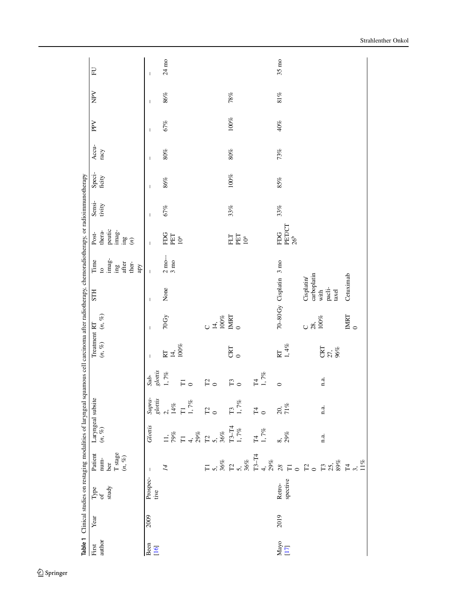<span id="page-3-0"></span>

|                                                             |      | Table 1 Clinical studies on restaging modalities of laryngeal squamous cell carcinoma after radiotherapy, chemoradiotherapy, or radioimmunotherapy |                                                                                                       |                                                                                                                   |                                                                                                                                                                                                                                                                                                                                                                                          |                                |                              |                      |                          |                                                                         |                                                                         |                  |                          |               |              |              |                  |
|-------------------------------------------------------------|------|----------------------------------------------------------------------------------------------------------------------------------------------------|-------------------------------------------------------------------------------------------------------|-------------------------------------------------------------------------------------------------------------------|------------------------------------------------------------------------------------------------------------------------------------------------------------------------------------------------------------------------------------------------------------------------------------------------------------------------------------------------------------------------------------------|--------------------------------|------------------------------|----------------------|--------------------------|-------------------------------------------------------------------------|-------------------------------------------------------------------------|------------------|--------------------------|---------------|--------------|--------------|------------------|
| author<br>First                                             | Year | study<br>Type<br>of                                                                                                                                | num-<br>ber<br>T stage<br>$(n, \%)$<br>Patient                                                        | Laryngeal subsite<br>$(n,\,\%)$                                                                                   |                                                                                                                                                                                                                                                                                                                                                                                          |                                | Treatment RT<br>$(n,\, \%)$  | $(n,\, \%)$          | <b>STH</b>               | $\mathrm{imag}$ -<br>Time<br>ther-<br>after<br>$\sin$<br>apy<br>$\circ$ | peutic<br>imag-<br>thera-<br>Post-<br>$\lim_{\delta}$<br>$\mathfrak{D}$ | Sensi-<br>tivity | Speci-<br>ficity         | Accu-<br>racy | PPV          | NPV          | E                |
| Been<br>[16]                                                | 2009 | Prospec-<br>tive                                                                                                                                   | $\overline{\phantom{a}}$                                                                              | Glotis                                                                                                            |                                                                                                                                                                                                                                                                                                                                                                                          | $\mathfrak{glottis}$<br>$Sub-$ | $\mathbf{I}$                 | $\mathbf{I}$         | $\mathsf{I}$             | $\mathbf{I}$                                                            | $\overline{1}$                                                          | $\mathsf{I}$     | $\overline{\phantom{a}}$ | I             | $\mathsf{I}$ | $\mathsf{I}$ | T                |
|                                                             |      |                                                                                                                                                    | $\overline{14}$                                                                                       |                                                                                                                   |                                                                                                                                                                                                                                                                                                                                                                                          | $1,7\%$                        | 14,<br>$\overline{\text{R}}$ | 70Gy                 | None                     | $\frac{2 \text{ mo}}{3 \text{ mo}}$                                     | <b>FDG</b><br>PET                                                       | 67%              | $86\%$                   | $80\%$        | 67%          | $86\%$       | $24~\mathrm{mo}$ |
|                                                             |      |                                                                                                                                                    |                                                                                                       | $\begin{array}{l} 11,\\ 79\%\\ \text{T1 } 4,\\ 29\%\\ \text{C1 }\\ 5,\\ 36\%\\ \text{T3--14}\\ 1,7\% \end{array}$ | $\begin{array}{lcl} \mathit{Supp} x_1 \\ \mathit{g} & \mathit{if} \\ 2, & 14 \, \mathit{sg} \\ 1 & 14 \, \mathit{sg} \\ 1 & 1 & 7 \, \mathit{sg} \\ 1 & 1 & 7 \, \mathit{sg} \\ 1 & 1 & 7 \, \mathit{sg} \\ 1 & 1 & 7 \, \mathit{sg} \\ 1 & 1 & 7 \, \mathit{sg} \\ 1 & 1 & 7 \, \mathit{sg} \\ 1 & 1 & 7 \, \mathit{sg} \\ 1 & 1 & 7 \, \mathit{sg} \\ 1 & 1 & 7 \, \mathit{sg} \\ 1 &$ | $\overline{F}$ o               | $100\%$                      |                      |                          |                                                                         | 10 <sup>a</sup>                                                         |                  |                          |               |              |              |                  |
|                                                             |      |                                                                                                                                                    |                                                                                                       |                                                                                                                   |                                                                                                                                                                                                                                                                                                                                                                                          | $\mathbb{P}_{\mathsf{O}}$      |                              |                      |                          |                                                                         |                                                                         |                  |                          |               |              |              |                  |
|                                                             |      |                                                                                                                                                    |                                                                                                       |                                                                                                                   |                                                                                                                                                                                                                                                                                                                                                                                          |                                |                              | $^{14,\atop -100\%}$ |                          |                                                                         |                                                                         |                  |                          |               |              |              |                  |
|                                                             |      |                                                                                                                                                    |                                                                                                       |                                                                                                                   |                                                                                                                                                                                                                                                                                                                                                                                          | $\mathbb{F}_{\mathsf{O}}$      | CRT                          | IMRT                 |                          |                                                                         | FLT                                                                     | 33%              | $100\%$                  | $80\%$        | $100\%$      | 78%          |                  |
|                                                             |      |                                                                                                                                                    |                                                                                                       |                                                                                                                   |                                                                                                                                                                                                                                                                                                                                                                                          |                                | $\circ$                      | $\circ$              |                          |                                                                         | PET<br>$10^{\rm a}$                                                     |                  |                          |               |              |              |                  |
|                                                             |      |                                                                                                                                                    |                                                                                                       | T4 1, 7%                                                                                                          | $F_0$                                                                                                                                                                                                                                                                                                                                                                                    | $\Xi$                          |                              |                      |                          |                                                                         |                                                                         |                  |                          |               |              |              |                  |
|                                                             |      |                                                                                                                                                    |                                                                                                       |                                                                                                                   |                                                                                                                                                                                                                                                                                                                                                                                          | $1,7\%$                        |                              |                      |                          |                                                                         |                                                                         |                  |                          |               |              |              |                  |
| $\begin{array}{c} \rm{May} \rm{o} \\ \rm{[17]} \end{array}$ | 2019 | spective<br>Retro-                                                                                                                                 | F 5.8% A 5.8% A F 6.8% A F 7.1% F 7.1% A F 7.1% A F 7.1% A F 7.1% A F 7.1% F 7.1% A F 7.1% F 7.1% F 7 | $\frac{8}{29\%}$                                                                                                  | $\frac{20}{71}\%$                                                                                                                                                                                                                                                                                                                                                                        | $\circ$                        | $1,4\%$<br>RT                |                      | 70-80 Gy Cisplatin 3 mo  |                                                                         | PET/CT<br>FDG<br>26 <sup>b</sup>                                        | 33%              | $85\%$                   | 73%           | 40%          | $81\%$       | $35 \text{ mo}$  |
|                                                             |      |                                                                                                                                                    |                                                                                                       |                                                                                                                   |                                                                                                                                                                                                                                                                                                                                                                                          |                                |                              | 28,<br>100%<br>U     | carboplatin<br>Cisplatin |                                                                         |                                                                         |                  |                          |               |              |              |                  |
|                                                             |      |                                                                                                                                                    |                                                                                                       | n.a.                                                                                                              | n.a.                                                                                                                                                                                                                                                                                                                                                                                     | 1.3.                           | CRT<br>27,<br>96%            |                      | pacli-<br>with<br>taxel  |                                                                         |                                                                         |                  |                          |               |              |              |                  |
|                                                             |      |                                                                                                                                                    |                                                                                                       |                                                                                                                   |                                                                                                                                                                                                                                                                                                                                                                                          |                                |                              | IMRT<br>$\circ$      | Cetuximab                |                                                                         |                                                                         |                  |                          |               |              |              |                  |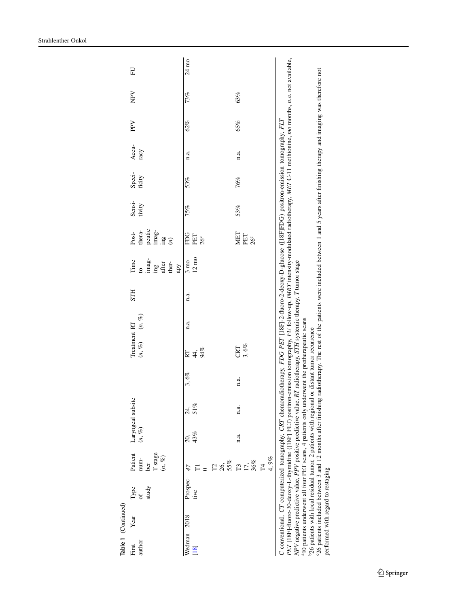| Table 1 (Continued) |      |                                                                                                                                                                                                                                                                                                                                                                                                                                                                                                                                                                                                                                                                                                                                                                                                                                                                                                                                           |                                                  |             |                   |      |                               |             |            |                                                                                          |                                                        |                  |                  |               |     |     |                           |
|---------------------|------|-------------------------------------------------------------------------------------------------------------------------------------------------------------------------------------------------------------------------------------------------------------------------------------------------------------------------------------------------------------------------------------------------------------------------------------------------------------------------------------------------------------------------------------------------------------------------------------------------------------------------------------------------------------------------------------------------------------------------------------------------------------------------------------------------------------------------------------------------------------------------------------------------------------------------------------------|--------------------------------------------------|-------------|-------------------|------|-------------------------------|-------------|------------|------------------------------------------------------------------------------------------|--------------------------------------------------------|------------------|------------------|---------------|-----|-----|---------------------------|
| author<br>First     | Year | study<br>Type<br>of                                                                                                                                                                                                                                                                                                                                                                                                                                                                                                                                                                                                                                                                                                                                                                                                                                                                                                                       | T stage<br>Patient<br>$(n,\, \%)$<br>num-<br>ber | $(n,\, \%)$ | Laryngeal subsite |      | Treatment RT<br>$(n, \%)$     | $(n,\, \%)$ | <b>STH</b> | imag-<br>Time<br>$\frac{\mathrm{ing}}{\mathrm{after}}$<br>ther-<br>apy<br>$\overline{c}$ | peutic<br>imag-<br>thera-<br>Post-<br>$\lim_{x \to 0}$ | Sensi-<br>tivity | Speci-<br>ficity | Accu-<br>racy | PPV | NPV | EU                        |
| Wedman<br>[18]      | 2018 | Prospec-<br>tive                                                                                                                                                                                                                                                                                                                                                                                                                                                                                                                                                                                                                                                                                                                                                                                                                                                                                                                          | т<br>0 ದಿ ಸೆಂ<br>55%<br>47                       | 43%<br>20,  | 24, 51%           | 3,6% | $4\frac{3}{8}$<br>$R_{\rm T}$ | n.a.        | n.a.       | $12 \text{ mo}$<br>$3 \text{ mo}$                                                        | EDG<br>PET<br>26 <sup>c</sup>                          | 75%              | 53%              | 1.4           | 62% | 73% | $24~\mathrm{m}\mathrm{o}$ |
|                     |      |                                                                                                                                                                                                                                                                                                                                                                                                                                                                                                                                                                                                                                                                                                                                                                                                                                                                                                                                           | 4,9%<br>$T3.5\%$<br>36%                          | n.a.        | n.a.              | n.a. | CRT<br>3, 6%                  |             |            |                                                                                          | MET<br>PET<br>26 <sup>c</sup>                          | 53%              | 76%              | 1.3           | 65% | 63% |                           |
|                     |      | PET [18F]-fluoro-30-deoxy-L-thymidine ([18F] FLT) positron-emission tomography, FU follow-up, IMRT intensity-modulated radiotherapy, MET C-11 methionine, mo months, n.a. not available,<br>26 patients included between 3 and 12 months after finishing radiotherapy. The rest of the patients were included between 1 and 5 years after finishing therapy and imaging was therefore not<br>C conventional, CT computerized tomography, CRT chemoradiotherapy, FDG PET [18F]-2-fluoro-2-deoxy-D-glucose ([18F]FDG) positron-emission tomography, FLT<br>NPV negative predictive value, PPV positive predictive value, RT radiotherapy, STH systemic therapy, T tumor stage<br><sup>a</sup> 10 patients underwent all four PET scans, 4 patients only underwent the pretherapeutic scans<br><sup>b26</sup> patients with local residual tumor, 2 patients with regional or distant tumor recurrence<br>performed with regard to restaging |                                                  |             |                   |      |                               |             |            |                                                                                          |                                                        |                  |                  |               |     |     |                           |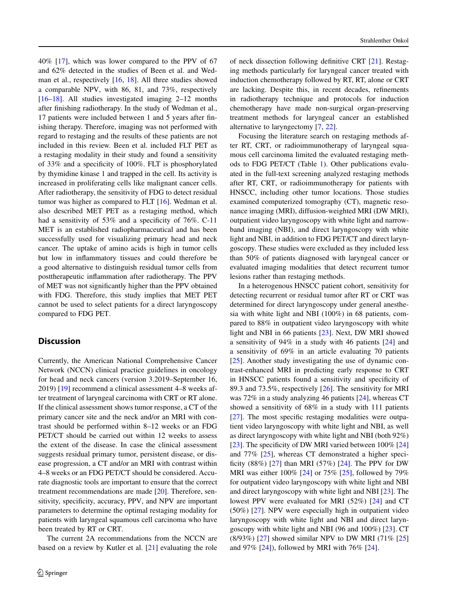40% [\[17\]](#page-8-7), which was lower compared to the PPV of 67 and 62% detected in the studies of Been et al. and Wedman et al., respectively [\[16,](#page-8-8) [18\]](#page-8-9). All three studies showed a comparable NPV, with 86, 81, and 73%, respectively [\[16](#page-8-8)[–18\]](#page-8-9). All studies investigated imaging 2–12 months after finishing radiotherapy. In the study of Wedman et al., 17 patients were included between 1 and 5 years after finishing therapy. Therefore, imaging was not performed with regard to restaging and the results of these patients are not included in this review. Been et al. included FLT PET as a restaging modality in their study and found a sensitivity of 33% and a specificity of 100%. FLT is phosphorylated by thymidine kinase 1 and trapped in the cell. Its activity is increased in proliferating cells like malignant cancer cells. After radiotherapy, the sensitivity of FDG to detect residual tumor was higher as compared to FLT [\[16\]](#page-8-8). Wedman et al. also described MET PET as a restaging method, which had a sensitivity of 53% and a specificity of 76%. C-11 MET is an established radiopharmaceutical and has been successfully used for visualizing primary head and neck cancer. The uptake of amino acids is high in tumor cells but low in inflammatory tissues and could therefore be a good alternative to distinguish residual tumor cells from posttherapeutic inflammation after radiotherapy. The PPV of MET was not significantly higher than the PPV obtained with FDG. Therefore, this study implies that MET PET cannot be used to select patients for a direct laryngoscopy compared to FDG PET.

## **Discussion**

Currently, the American National Comprehensive Cancer Network (NCCN) clinical practice guidelines in oncology for head and neck cancers (version 3.2019–September 16, 2019) [\[19\]](#page-8-10) recommend a clinical assessment 4–8 weeks after treatment of laryngeal carcinoma with CRT or RT alone. If the clinical assessment shows tumor response, a CT of the primary cancer site and the neck and/or an MRI with contrast should be performed within 8–12 weeks or an FDG PET/CT should be carried out within 12 weeks to assess the extent of the disease. In case the clinical assessment suggests residual primary tumor, persistent disease, or disease progression, a CT and/or an MRI with contrast within 4–8 weeks or an FDG PET/CT should be considered. Accurate diagnostic tools are important to ensure that the correct treatment recommendations are made [\[20\]](#page-8-11). Therefore, sensitivity, specificity, accuracy, PPV, and NPV are important parameters to determine the optimal restaging modality for patients with laryngeal squamous cell carcinoma who have been treated by RT or CRT.

The current 2A recommendations from the NCCN are based on a review by Kutler et al. [\[21\]](#page-8-12) evaluating the role

of neck dissection following definitive CRT [\[21\]](#page-8-12). Restaging methods particularly for laryngeal cancer treated with induction chemotherapy followed by RT, RT, alone or CRT are lacking. Despite this, in recent decades, refinements in radiotherapy technique and protocols for induction chemotherapy have made non-surgical organ-preserving treatment methods for laryngeal cancer an established alternative to laryngectomy [\[7,](#page-7-4) [22\]](#page-8-13).

Focusing the literature search on restaging methods after RT, CRT, or radioimmunotherapy of laryngeal squamous cell carcinoma limited the evaluated restaging methods to FDG PET/CT (Table [1\)](#page-3-0). Other publications evaluated in the full-text screening analyzed restaging methods after RT, CRT, or radioimmunotherapy for patients with HNSCC, including other tumor locations. Those studies examined computerized tomography (CT), magnetic resonance imaging (MRI), diffusion-weighted MRI (DW MRI), outpatient video laryngoscopy with white light and narrowband imaging (NBI), and direct laryngoscopy with white light and NBI, in addition to FDG PET/CT and direct laryngoscopy. These studies were excluded as they included less than 50% of patients diagnosed with laryngeal cancer or evaluated imaging modalities that detect recurrent tumor lesions rather than restaging methods.

In a heterogenous HNSCC patient cohort, sensitivity for detecting recurrent or residual tumor after RT or CRT was determined for direct laryngoscopy under general anesthesia with white light and NBI (100%) in 68 patients, compared to 88% in outpatient video laryngoscopy with white light and NBI in 66 patients [\[23\]](#page-8-14). Next, DW MRI showed a sensitivity of 94% in a study with 46 patients [\[24\]](#page-8-15) and a sensitivity of 69% in an article evaluating 70 patients [\[25\]](#page-8-16). Another study investigating the use of dynamic contrast-enhanced MRI in predicting early response to CRT in HNSCC patients found a sensitivity and specificity of 89.3 and 73.5%, respectively [\[26\]](#page-8-17). The sensitivity for MRI was 72% in a study analyzing 46 patients [\[24\]](#page-8-15), whereas CT showed a sensitivity of 68% in a study with 111 patients [\[27\]](#page-8-18). The most specific restaging modalities were outpatient video laryngoscopy with white light and NBI, as well as direct laryngoscopy with white light and NBI (both 92%) [\[23\]](#page-8-14). The specificity of DW MRI varied between  $100\%$  [\[24\]](#page-8-15) and 77% [\[25\]](#page-8-16), whereas CT demonstrated a higher specificity (88%) [\[27\]](#page-8-18) than MRI (57%) [\[24\]](#page-8-15). The PPV for DW MRI was either 100% [\[24\]](#page-8-15) or 75% [\[25\]](#page-8-16), followed by 79% for outpatient video laryngoscopy with white light and NBI and direct laryngoscopy with white light and NBI [\[23\]](#page-8-14). The lowest PPV were evaluated for MRI (52%) [\[24\]](#page-8-15) and CT (50%) [\[27\]](#page-8-18). NPV were especially high in outpatient video laryngoscopy with white light and NBI and direct laryngoscopy with white light and NBI (96 and 100%) [\[23\]](#page-8-14). CT (8/93%) [\[27\]](#page-8-18) showed similar NPV to DW MRI (71% [\[25\]](#page-8-16) and 97%  $[24]$ , followed by MRI with 76%  $[24]$ .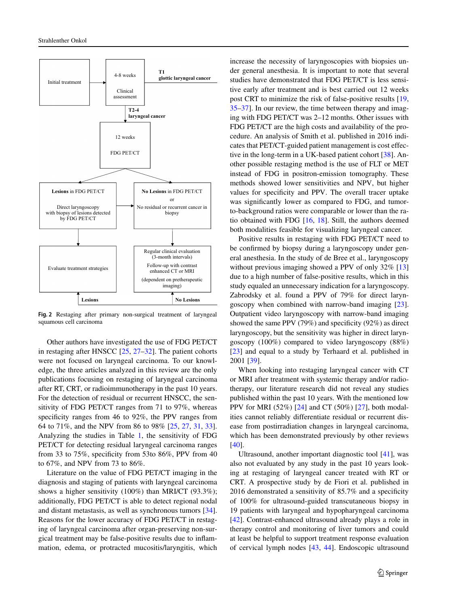

<span id="page-6-0"></span>**Fig. 2** Restaging after primary non-surgical treatment of laryngeal squamous cell carcinoma

Other authors have investigated the use of FDG PET/CT in restaging after HNSCC  $[25, 27-32]$  $[25, 27-32]$  $[25, 27-32]$  $[25, 27-32]$ . The patient cohorts were not focused on laryngeal carcinoma. To our knowledge, the three articles analyzed in this review are the only publications focusing on restaging of laryngeal carcinoma after RT, CRT, or radioimmunotherapy in the past 10 years. For the detection of residual or recurrent HNSCC, the sensitivity of FDG PET/CT ranges from 71 to 97%, whereas specificity ranges from 46 to 92%, the PPV ranges from 64 to 71%, and the NPV from 86 to 98% [\[25,](#page-8-16) [27,](#page-8-18) [31,](#page-8-20) [33\]](#page-8-21). Analyzing the studies in Table [1,](#page-3-0) the sensitivity of FDG PET/CT for detecting residual laryngeal carcinoma ranges from 33 to 75%, specificity from 53to 86%, PPV from 40 to 67%, and NPV from 73 to 86%.

Literature on the value of FDG PET/CT imaging in the diagnosis and staging of patients with laryngeal carcinoma shows a higher sensitivity (100%) than MRI/CT (93.3%); additionally, FDG PET/CT is able to detect regional nodal and distant metastasis, as well as synchronous tumors [\[34\]](#page-8-22). Reasons for the lower accuracy of FDG PET/CT in restaging of laryngeal carcinoma after organ-preserving non-surgical treatment may be false-positive results due to inflammation, edema, or protracted mucositis/laryngitis, which

increase the necessity of laryngoscopies with biopsies under general anesthesia. It is important to note that several studies have demonstrated that FDG PET/CT is less sensitive early after treatment and is best carried out 12 weeks post CRT to minimize the risk of false-positive results [\[19,](#page-8-10) [35](#page-8-23)[–37\]](#page-8-24). In our review, the time between therapy and imaging with FDG PET/CT was 2–12 months. Other issues with FDG PET/CT are the high costs and availability of the procedure. An analysis of Smith et al. published in 2016 indicates that PET/CT-guided patient management is cost effective in the long-term in a UK-based patient cohort [\[38\]](#page-9-0). Another possible restaging method is the use of FLT or MET instead of FDG in positron-emission tomography. These methods showed lower sensitivities and NPV, but higher values for specificity and PPV. The overall tracer uptake was significantly lower as compared to FDG, and tumorto-background ratios were comparable or lower than the ratio obtained with FDG [\[16,](#page-8-8) [18\]](#page-8-9). Still, the authors deemed both modalities feasible for visualizing laryngeal cancer.

Positive results in restaging with FDG PET/CT need to be confirmed by biopsy during a laryngoscopy under general anesthesia. In the study of de Bree et al., laryngoscopy without previous imaging showed a PPV of only 32% [\[13\]](#page-8-4) due to a high number of false-positive results, which in this study equaled an unnecessary indication for a laryngoscopy. Zabrodsky et al. found a PPV of 79% for direct laryngoscopy when combined with narrow-band imaging [\[23\]](#page-8-14). Outpatient video laryngoscopy with narrow-band imaging showed the same PPV (79%) and specificity (92%) as direct laryngoscopy, but the sensitivity was higher in direct laryngoscopy (100%) compared to video laryngoscopy (88%) [\[23\]](#page-8-14) and equal to a study by Terhaard et al. published in 2001 [\[39\]](#page-9-1).

When looking into restaging laryngeal cancer with CT or MRI after treatment with systemic therapy and/or radiotherapy, our literature research did not reveal any studies published within the past 10 years. With the mentioned low PPV for MRI (52%) [\[24\]](#page-8-15) and CT (50%) [\[27\]](#page-8-18), both modalities cannot reliably differentiate residual or recurrent disease from postirradiation changes in laryngeal carcinoma, which has been demonstrated previously by other reviews [\[40\]](#page-9-2).

Ultrasound, another important diagnostic tool [\[41\]](#page-9-3), was also not evaluated by any study in the past 10 years looking at restaging of laryngeal cancer treated with RT or CRT. A prospective study by de Fiori et al. published in 2016 demonstrated a sensitivity of 85.7% and a specificity of 100% for ultrasound-guided transcutaneous biopsy in 19 patients with laryngeal and hypopharyngeal carcinoma [\[42\]](#page-9-4). Contrast-enhanced ultrasound already plays a role in therapy control and monitoring of liver tumors and could at least be helpful to support treatment response evaluation of cervical lymph nodes [\[43,](#page-9-5) [44\]](#page-9-6). Endoscopic ultrasound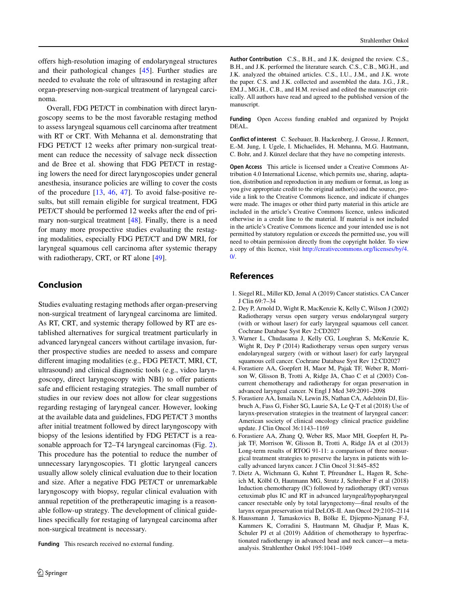offers high-resolution imaging of endolaryngeal structures and their pathological changes [\[45\]](#page-9-7). Further studies are needed to evaluate the role of ultrasound in restaging after organ-preserving non-surgical treatment of laryngeal carcinoma.

Overall, FDG PET/CT in combination with direct laryngoscopy seems to be the most favorable restaging method to assess laryngeal squamous cell carcinoma after treatment with RT or CRT. With Mehanna et al. demonstrating that FDG PET/CT 12 weeks after primary non-surgical treatment can reduce the necessity of salvage neck dissection and de Bree et al. showing that FDG PET/CT in restaging lowers the need for direct laryngoscopies under general anesthesia, insurance policies are willing to cover the costs of the procedure [\[13,](#page-8-4) [46,](#page-9-8) [47\]](#page-9-9). To avoid false-positive results, but still remain eligible for surgical treatment, FDG PET/CT should be performed 12 weeks after the end of pri-mary non-surgical treatment [\[48\]](#page-9-10). Finally, there is a need for many more prospective studies evaluating the restaging modalities, especially FDG PET/CT and DW MRI, for laryngeal squamous cell carcinoma after systemic therapy with radiotherapy, CRT, or RT alone [\[49\]](#page-9-11).

## **Conclusion**

Studies evaluating restaging methods after organ-preserving non-surgical treatment of laryngeal carcinoma are limited. As RT, CRT, and systemic therapy followed by RT are established alternatives for surgical treatment particularly in advanced laryngeal cancers without cartilage invasion, further prospective studies are needed to assess and compare different imaging modalities (e.g., FDG PET/CT, MRI, CT, ultrasound) and clinical diagnostic tools (e.g., video laryngoscopy, direct laryngoscopy with NBI) to offer patients safe and efficient restaging strategies. The small number of studies in our review does not allow for clear suggestions regarding restaging of laryngeal cancer. However, looking at the available data and guidelines, FDG PET/CT 3 months after initial treatment followed by direct laryngoscopy with biopsy of the lesions identified by FDG PET/CT is a reasonable approach for T2–T4 laryngeal carcinomas (Fig. [2\)](#page-6-0). This procedure has the potential to reduce the number of unnecessary laryngoscopies. T1 glottic laryngeal cancers usually allow solely clinical evaluation due to their location and size. After a negative FDG PET/CT or unremarkable laryngoscopy with biopsy, regular clinical evaluation with annual repetition of the pretherapeutic imaging is a reasonable follow-up strategy. The development of clinical guidelines specifically for restaging of laryngeal carcinoma after non-surgical treatment is necessary.

**Funding** This research received no external funding.

**Author Contribution** C.S., B.H., and J.K. designed the review. C.S., B.H., and J.K. performed the literature search. C.S., C.B., MG.H., and J.K. analyzed the obtained articles. C.S., I.U., J.M., and J.K. wrote the paper. C.S. and J.K. collected and assembled the data. J.G., J.R., EM.J., MG.H., C.B., and H.M. revised and edited the manuscript critically. All authors have read and agreed to the published version of the manuscript.

**Funding** Open Access funding enabled and organized by Projekt DEAL.

**Conflict of interest** C. Seebauer, B. Hackenberg, J. Grosse, J. Rennert, E.-M. Jung, I. Ugele, I. Michaelides, H. Mehanna, M.G. Hautmann, C. Bohr, and J. Künzel declare that they have no competing interests.

**Open Access** This article is licensed under a Creative Commons Attribution 4.0 International License, which permits use, sharing, adaptation, distribution and reproduction in any medium or format, as long as you give appropriate credit to the original author(s) and the source, provide a link to the Creative Commons licence, and indicate if changes were made. The images or other third party material in this article are included in the article's Creative Commons licence, unless indicated otherwise in a credit line to the material. If material is not included in the article's Creative Commons licence and your intended use is not permitted by statutory regulation or exceeds the permitted use, you will need to obtain permission directly from the copyright holder. To view a copy of this licence, visit [http://creativecommons.org/licenses/by/4.](http://creativecommons.org/licenses/by/4.0/)  $\Omega$ 

# **References**

- <span id="page-7-1"></span><span id="page-7-0"></span>1. Siegel RL, Miller KD, Jemal A (2019) Cancer statistics. CA Cancer J Clin 69:7–34
- 2. Dey P, Arnold D, Wight R, MacKenzie K, Kelly C, Wilson J (2002) Radiotherapy versus open surgery versus endolaryngeal surgery (with or without laser) for early laryngeal squamous cell cancer. Cochrane Database Syst Rev 2:CD2027
- <span id="page-7-2"></span>3. Warner L, Chudasama J, Kelly CG, Loughran S, McKenzie K, Wight R, Dey P (2014) Radiotherapy versus open surgery versus endolaryngeal surgery (with or without laser) for early laryngeal squamous cell cancer. Cochrane Database Syst Rev 12:CD2027
- <span id="page-7-3"></span>4. Forastiere AA, Goepfert H, Maor M, Pajak TF, Weber R, Morrison W, Glisson B, Trotti A, Ridge JA, Chao C et al (2003) Concurrent chemotherapy and radiotherapy for organ preservation in advanced laryngeal cancer. N Engl J Med 349:2091–2098
- 5. Forastiere AA, Ismaila N, Lewin JS, Nathan CA, Adelstein DJ, Eisbruch A, Fass G, Fisher SG, Laurie SA, Le Q-T et al (2018) Use of larynx-preservation strategies in the treatment of laryngeal cancer: American society of clinical oncology clinical practice guideline update. J Clin Oncol 36:1143–1169
- 6. Forastiere AA, Zhang Q, Weber RS, Maor MH, Goepfert H, Pajak TF, Morrison W, Glisson B, Trotti A, Ridge JA et al (2013) Long-term results of RTOG 91-11: a comparison of three nonsurgical treatment strategies to preserve the larynx in patients with locally advanced larynx cancer. J Clin Oncol 31:845–852
- <span id="page-7-4"></span>7. Dietz A, Wichmann G, Kuhnt T, Pfreundner L, Hagen R, Scheich M, Kölbl O, Hautmann MG, Strutz J, Schreiber F et al (2018) Induction chemotherapy (IC) followed by radiotherapy (RT) versus cetuximab plus IC and RT in advanced laryngeal/hypopharyngeal cancer resectable only by total laryngectomy—final results of the larynx organ preservation trial DeLOS-II. Ann Oncol 29:2105–2114
- 8. Haussmann J, Tamaskovics B, Bölke E, Djiepmo-Njanang F-J, Kammers K, Corradini S, Hautmann M, Ghadjar P, Maas K, Schuler PJ et al (2019) Addition of chemotherapy to hyperfractionated radiotherapy in advanced head and neck cancer—a metaanalysis. Strahlenther Onkol 195:1041–1049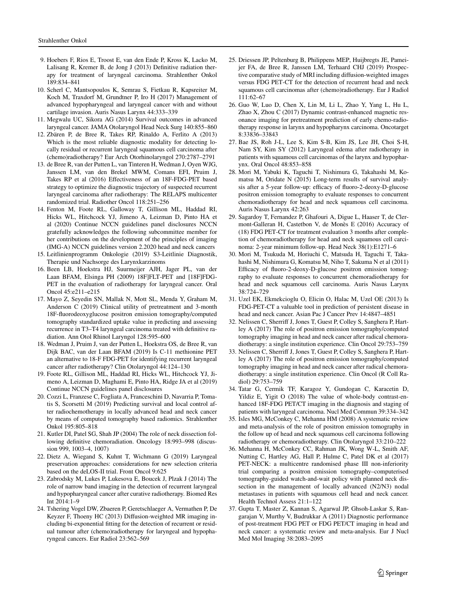- <span id="page-8-0"></span>9. Hoebers F, Rios E, Troost E, van den Ende P, Kross K, Lacko M, Lalisang R, Kremer B, de Jong J (2013) Definitive radiation therapy for treatment of laryngeal carcinoma. Strahlenther Onkol 189:834–841
- <span id="page-8-1"></span>10. Scherl C, Mantsopoulos K, Semrau S, Fietkau R, Kapsreiter M, Koch M, Traxdorf M, Grundtner P, Iro H (2017) Management of advanced hypopharyngeal and laryngeal cancer with and without cartilage invasion. Auris Nasus Larynx 44:333–339
- <span id="page-8-3"></span><span id="page-8-2"></span>11. Megwalu UC, Sikora AG (2014) Survival outcomes in advanced laryngeal cancer. JAMA Otolaryngol Head Neck Surg 140:855–860
- 12. Zbären P, de Bree R, Takes RP, Rinaldo A, Ferlito A (2013) Which is the most reliable diagnostic modality for detecting locally residual or recurrent laryngeal squamous cell carcinoma after (chemo)radiotherapy? Eur Arch Otorhinolaryngol 270:2787–2791
- <span id="page-8-4"></span>13. de Bree R, van der Putten L, van Tinteren H, Wedman J, Oyen WJG, Janssen LM, van den Brekel MWM, Comans EFI, Pruim J, Takes RP et al (2016) Effectiveness of an 18F-FDG-PET based strategy to optimize the diagnostic trajectory of suspected recurrent laryngeal carcinoma after radiotherapy: The RELAPS multicenter randomized trial. Radiother Oncol 118:251–256
- <span id="page-8-5"></span>14. Fenton M, Foote RL, Galloway T, Gillison ML, Haddad RI, Hicks WL, Hitchcock YJ, Jimeno A, Leizman D, Pinto HA et al (2020) Continue NCCN guidelines panel disclosures NCCN gratefully acknowledges the following subcommittee member for her contributions on the development of the principles of imaging (IMG-A) NCCN guidelines version 2.2020 head and neck cancers
- <span id="page-8-8"></span><span id="page-8-6"></span>15. Leitlinienprogramm Onkologie (2019) S3-Leitlinie Diagnostik, Therapie und Nachsorge des Larynxkarzinoms
- 16. Been LB, Hoekstra HJ, Suurmeijer AJH, Jager PL, van der Laan BFAM, Elsinga PH (2009) 18F]FLT-PET and [18F]FDG-PET in the evaluation of radiotherapy for laryngeal cancer. Oral Oncol 45:e211–e215
- <span id="page-8-7"></span>17. Mayo Z, Seyedin SN, Mallak N, Mott SL, Menda Y, Graham M, Anderson C (2019) Clinical utility of pretreatment and 3-month 18F-fluorodeoxyglucose positron emission tomography/computed tomography standardized uptake value in predicting and assessing recurrence in T3–T4 laryngeal carcinoma treated with definitive radiation. Ann Otol Rhinol Laryngol 128:595–600
- <span id="page-8-9"></span>18. Wedman J, Pruim J, van der Putten L, Hoekstra OS, de Bree R, van Dijk BAC, van der Laan BFAM (2019) Is C-11 methionine PET an alternative to 18-F FDG-PET for identifying recurrent laryngeal cancer after radiotherapy? Clin Otolaryngol 44:124–130
- <span id="page-8-10"></span>19. Foote RL, Gillison ML, Haddad RI, Hicks WL, Hitchcock YJ, Jimeno A, Leizman D, Maghami E, Pinto HA, Ridge JA et al (2019) Continue NCCN guidelines panel disclosures
- <span id="page-8-11"></span>20. Cozzi L, Franzese C, Fogliata A, Franceschini D, Navarria P, Tomatis S, Scorsetti M (2019) Predicting survival and local control after radiochemotherapy in locally advanced head and neck cancer by means of computed tomography based radiomics. Strahlenther Onkol 195:805–818
- <span id="page-8-12"></span>21. Kutler DI, Patel SG, Shah JP (2004) The role of neck dissection following definitive chemoradiation. Oncology 18:993–998 (discussion 999, 1003–4, 1007)
- <span id="page-8-13"></span>22. Dietz A, Wiegand S, Kuhnt T, Wichmann G (2019) Laryngeal preservation approaches: considerations for new selection criteria based on the deLOS-II trial. Front Oncol 9:625
- <span id="page-8-14"></span>23. Zabrodsky M, Lukes P, Lukesova E, Boucek J, Plzak J (2014) The role of narrow band imaging in the detection of recurrent laryngeal and hypopharyngeal cancer after curative radiotherapy. Biomed Res Int 2014:1–9
- <span id="page-8-15"></span>24. Tshering Vogel DW, Zbaeren P, Geretschlaeger A, Vermathen P, De Keyzer F, Thoeny HC (2013) Diffusion-weighted MR imaging including bi-exponential fitting for the detection of recurrent or residual tumour after (chemo)radiotherapy for laryngeal and hypopharyngeal cancers. Eur Radiol 23:562–569
- <span id="page-8-16"></span>25. Driessen JP, Peltenburg B, Philippens MEP, Huijbregts JE, Pameijer FA, de Bree R, Janssen LM, Terhaard CHJ (2019) Prospective comparative study of MRI including diffusion-weighted images versus FDG PET-CT for the detection of recurrent head and neck squamous cell carcinomas after (chemo)radiotherapy. Eur J Radiol 111:62–67
- <span id="page-8-17"></span>26. Guo W, Luo D, Chen X, Lin M, Li L, Zhao Y, Yang L, Hu L, Zhao X, Zhou C (2017) Dynamic contrast-enhanced magnetic resonance imaging for pretreatment prediction of early chemo-radiotherapy response in larynx and hypopharynx carcinoma. Oncotarget 8:33836–33843
- <span id="page-8-18"></span>27. Bae JS, Roh J-L, Lee S, Kim S-B, Kim JS, Lee JH, Choi S-H, Nam SY, Kim SY (2012) Laryngeal edema after radiotherapy in patients with squamous cell carcinomas of the larynx and hypopharynx. Oral Oncol 48:853–858
- 28. Mori M, Yabuki K, Taguchi T, Nishimura G, Takahashi M, Komatsu M, Oridate N (2015) Long-term results of survival analysis after a 5-year follow-up: efficacy of fluoro-2-deoxy-D-glucose positron emission tomography to evaluate responses to concurrent chemoradiotherapy for head and neck squamous cell carcinoma. Auris Nasus Larynx 42:263
- 29. Sagardoy T, Fernandez P, Ghafouri A, Digue L, Haaser T, de Clermont-Galleran H, Castetbon V, de Monès E (2016) Accuracy of (18) FDG PET-CT for treatment evaluation 3 months after completion of chemoradiotherapy for head and neck squamous cell carcinoma: 2-year minimum follow-up. Head Neck 38(1):E1271–6
- 30. Mori M, Tsukuda M, Horiuchi C, Matsuda H, Taguchi T, Takahashi M, Nishimura G, Komatsu M, Niho T, Sakuma N et al (2011) Efficacy of fluoro-2-deoxy-D-glucose positron emission tomography to evaluate responses to concurrent chemoradiotherapy for head and neck squamous cell carcinoma. Auris Nasus Larynx 38:724–729
- <span id="page-8-20"></span>31. Uzel EK, Ekmekcioglu O, Elicin O, Halac M, Uzel OE (2013) Is FDG-PET-CT a valuable tool in prediction of persistent disease in head and neck cancer. Asian Pac J Cancer Prev 14:4847–4851
- <span id="page-8-19"></span>32. Nelissen C, Sherriff J, Jones T, Guest P, Colley S, Sanghera P, Hartley A (2017) The role of positron emission tomography/computed tomography imaging in head and neck cancer after radical chemoradiotherapy: a single institution experience. Clin Oncol 29:753–759
- <span id="page-8-21"></span>33. Nelissen C, Sherriff J, Jones T, Guest P, Colley S, Sanghera P, Hartley A (2017) The role of positron emission tomography/computed tomography imaging in head and neck cancer after radical chemoradiotherapy: a single institution experience. Clin Oncol (R Coll Radiol) 29:753–759
- <span id="page-8-22"></span>34. Tatar G, Cermik TF, Karagoz Y, Gundogan C, Karacetin D, Yildiz E, Yigit O (2018) The value of whole-body contrast-enhanced 18F-FDG PET/CT imaging in the diagnosis and staging of patients with laryngeal carcinoma. Nucl Med Commun 39:334–342
- <span id="page-8-23"></span>35. Isles MG, McConkey C, Mehanna HM (2008) A systematic review and meta-analysis of the role of positron emission tomography in the follow up of head and neck squamous cell carcinoma following radiotherapy or chemoradiotherapy. Clin Otolaryngol 33:210–222
- 36. Mehanna H, McConkey CC, Rahman JK, Wong W-L, Smith AF, Nutting C, Hartley AG, Hall P, Hulme C, Patel DK et al (2017) PET-NECK: a multicentre randomised phase III non-inferiority trial comparing a positron emission tomography–computerised tomography-guided watch-and-wait policy with planned neck dissection in the management of locally advanced (N2/N3) nodal metastases in patients with squamous cell head and neck cancer. Health Technol Assess 21:1–122
- <span id="page-8-24"></span>37. Gupta T, Master Z, Kannan S, Agarwal JP, Ghsoh-Laskar S, Rangarajan V, Murthy V, Budrukkar A (2011) Diagnostic performance of post-treatment FDG PET or FDG PET/CT imaging in head and neck cancer: a systematic review and meta-analysis. Eur J Nucl Med Mol Imaging 38:2083–2095